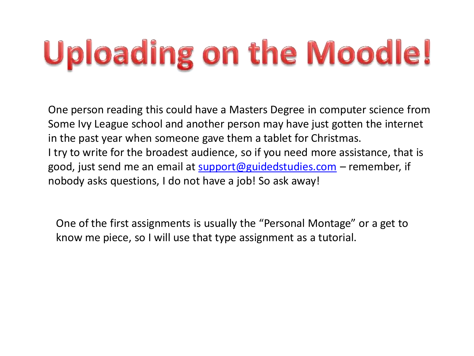## **Uploading on the Moodle!**

One person reading this could have a Masters Degree in computer science from Some Ivy League school and another person may have just gotten the internet in the past year when someone gave them a tablet for Christmas. I try to write for the broadest audience, so if you need more assistance, that is good, just send me an email at [support@guidedstudies.com](mailto:support@guidedstudies.com) – remember, if nobody asks questions, I do not have a job! So ask away!

One of the first assignments is usually the "Personal Montage" or a get to know me piece, so I will use that type assignment as a tutorial.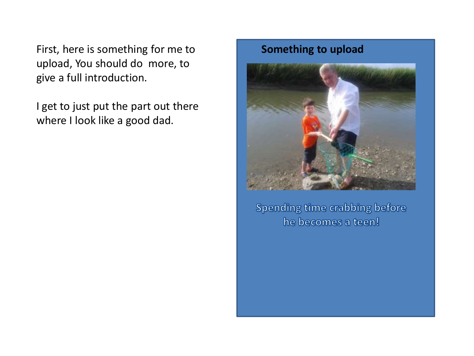First, here is something for me to **Something to upload** upload, You should do more, to give a full introduction.

I get to just put the part out there where I look like a good dad.



Spending time crabbing before he becomes a teen!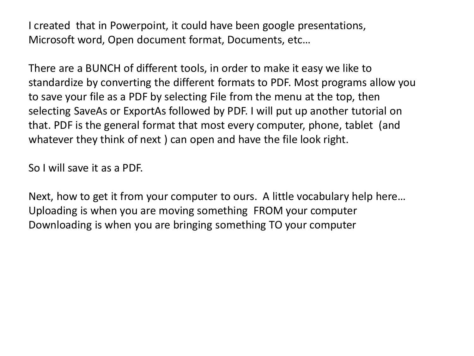I created that in Powerpoint, it could have been google presentations, Microsoft word, Open document format, Documents, etc…

There are a BUNCH of different tools, in order to make it easy we like to standardize by converting the different formats to PDF. Most programs allow you to save your file as a PDF by selecting File from the menu at the top, then selecting SaveAs or ExportAs followed by PDF. I will put up another tutorial on that. PDF is the general format that most every computer, phone, tablet (and whatever they think of next ) can open and have the file look right.

So I will save it as a PDF.

Next, how to get it from your computer to ours. A little vocabulary help here… Uploading is when you are moving something FROM your computer Downloading is when you are bringing something TO your computer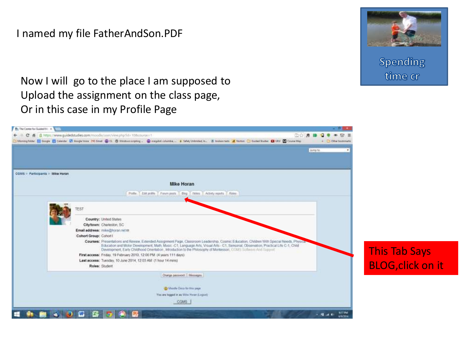## I named my file FatherAndSon.PDF **to upload**



Spending time cr

Now I will go to the place I am supposed to Upload the assignment on the class page, Or in this case in my Profile Page

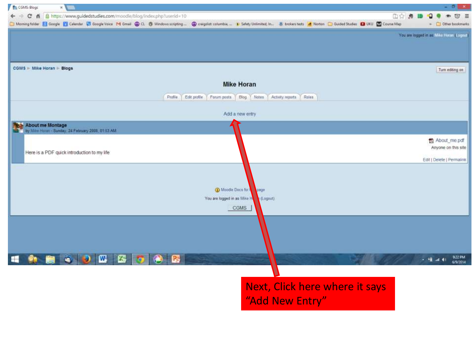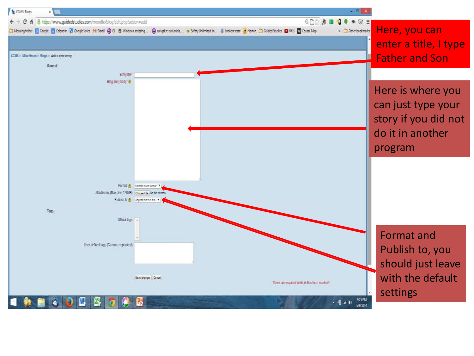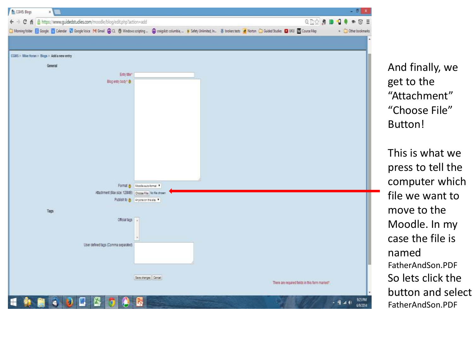

And finally, we get to the "Attachment" "Choose File" Button!

This is what we press to tell the computer which file we want to move to the Moodle. In my case the file is named FatherAndSon.PDF So lets click the button and select FatherAndSon.PDF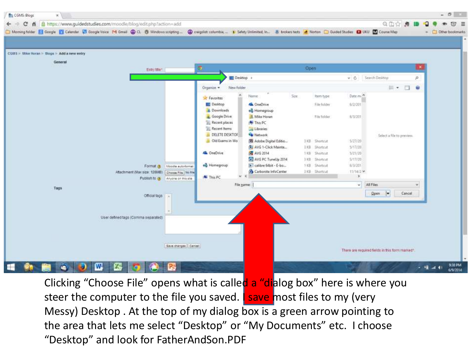

Clicking "Choose File" opens what is called a "dialog box" here is where you steer the computer to the file you saved. **I save most files to my (very** Messy) Desktop . At the top of my dialog box is a green arrow pointing to the area that lets me select "Desktop" or "My Documents" etc. I choose "Desktop" and look for FatherAndSon.PDF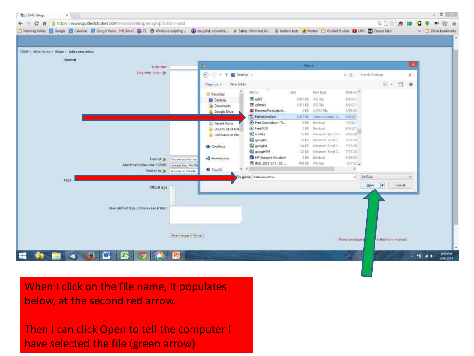

When I click on the file name, it populates below, at the second red arrow.

Then I can click Open to tell the computer I have selected the file (green arrow)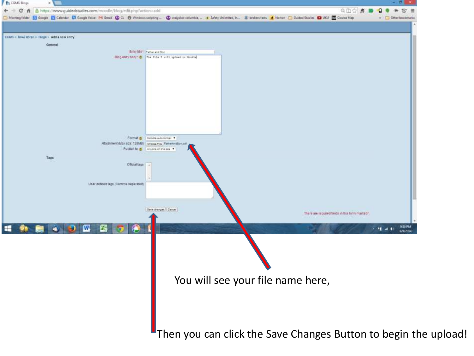